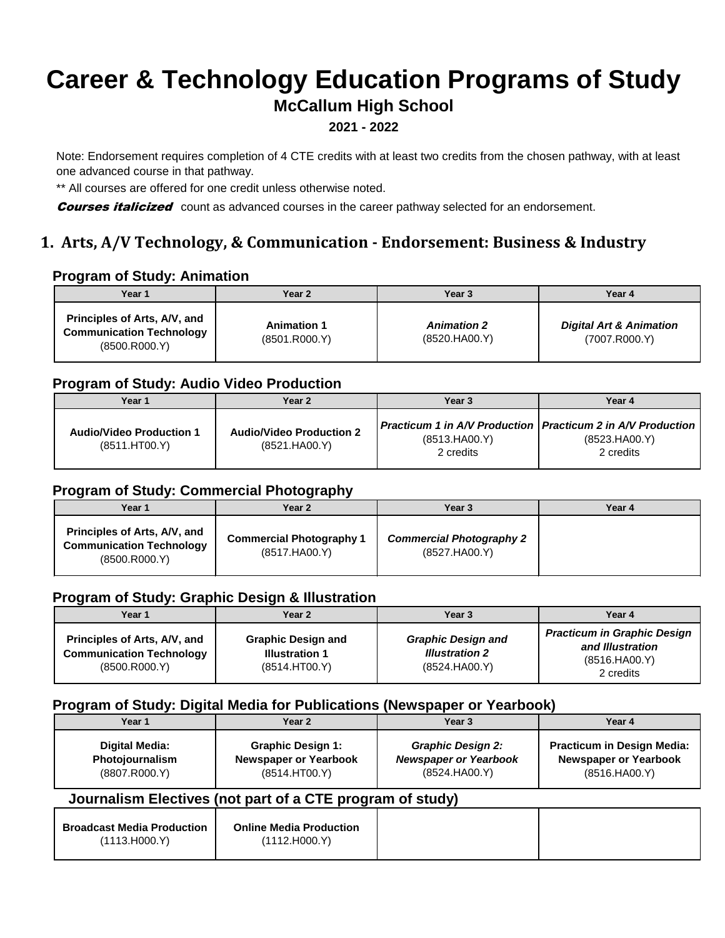# **Career & Technology Education Programs of Study**

## **McCallum High School**

#### **2021 - 2022**

Note: Endorsement requires completion of 4 CTE credits with at least two credits from the chosen pathway, with at least one advanced course in that pathway.

\*\* All courses are offered for one credit unless otherwise noted.

**Courses italicized** count as advanced courses in the career pathway selected for an endorsement.

## **1. Arts, A/V Technology, & Communication - Endorsement: Business & Industry**

#### **Program of Study: Animation**

| Year 1                                                                             | Year 2                              | Year <sub>3</sub>                    | Year 4                                              |
|------------------------------------------------------------------------------------|-------------------------------------|--------------------------------------|-----------------------------------------------------|
| Principles of Arts, A/V, and<br><b>Communication Technology</b><br>(8500, R000, Y) | <b>Animation 1</b><br>(8501.R000.Y) | <b>Animation 2</b><br>(8520. HAO0.Y) | <b>Digital Art &amp; Animation</b><br>(7007.R000.Y) |

## **Program of Study: Audio Video Production**

| Year 1                                           | Year 2                                           | Year 3                                                                                        | Year 4                     |
|--------------------------------------------------|--------------------------------------------------|-----------------------------------------------------------------------------------------------|----------------------------|
| <b>Audio/Video Production 1</b><br>(8511.HT00.Y) | <b>Audio/Video Production 2</b><br>(8521.HA00.Y) | Practicum 1 in A/V Production   Practicum 2 in A/V Production  <br>(8513.HAOO.Y)<br>2 credits | (8523.HA00.Y)<br>2 credits |

### **Program of Study: Commercial Photography**

| Year 1                                                                             | Year 2                                           | Year 3                                           | Year 4 |
|------------------------------------------------------------------------------------|--------------------------------------------------|--------------------------------------------------|--------|
| Principles of Arts, A/V, and<br><b>Communication Technology</b><br>(8500, R000, Y) | <b>Commercial Photography 1</b><br>(8517.HA00.Y) | <b>Commercial Photography 2</b><br>(8527.HA00.Y) |        |

## **Program of Study: Graphic Design & Illustration**

| Year 1                                                                             | Year 2                                                              | Year 3                                                              | Year 4                                                                               |
|------------------------------------------------------------------------------------|---------------------------------------------------------------------|---------------------------------------------------------------------|--------------------------------------------------------------------------------------|
| Principles of Arts, A/V, and<br><b>Communication Technology</b><br>(8500, R000, Y) | <b>Graphic Design and</b><br><b>Illustration 1</b><br>(8514.HT00.Y) | <b>Graphic Design and</b><br><b>Illustration 2</b><br>(8524.HA00.Y) | <b>Practicum in Graphic Design</b><br>and Illustration<br>(8516.HAOO.Y)<br>2 credits |

#### **Program of Study: Digital Media for Publications (Newspaper or Yearbook)**

| Year 1                                                    | Year 2                                                                    | Year <sub>3</sub>                                                         | Year 4                                                                             |
|-----------------------------------------------------------|---------------------------------------------------------------------------|---------------------------------------------------------------------------|------------------------------------------------------------------------------------|
| <b>Digital Media:</b><br>Photojournalism<br>(8807.R000.Y) | <b>Graphic Design 1:</b><br><b>Newspaper or Yearbook</b><br>(8514.HT00.Y) | <b>Graphic Design 2:</b><br><b>Newspaper or Yearbook</b><br>(8524.HA00.Y) | <b>Practicum in Design Media:</b><br><b>Newspaper or Yearbook</b><br>(8516.HAOO.Y) |
|                                                           | Journalism Electives (not part of a CTE program of study)                 |                                                                           |                                                                                    |
| <b>Broadcast Media Production</b><br>(1113.H000.Y)        | <b>Online Media Production</b><br>(1112.H000.Y)                           |                                                                           |                                                                                    |